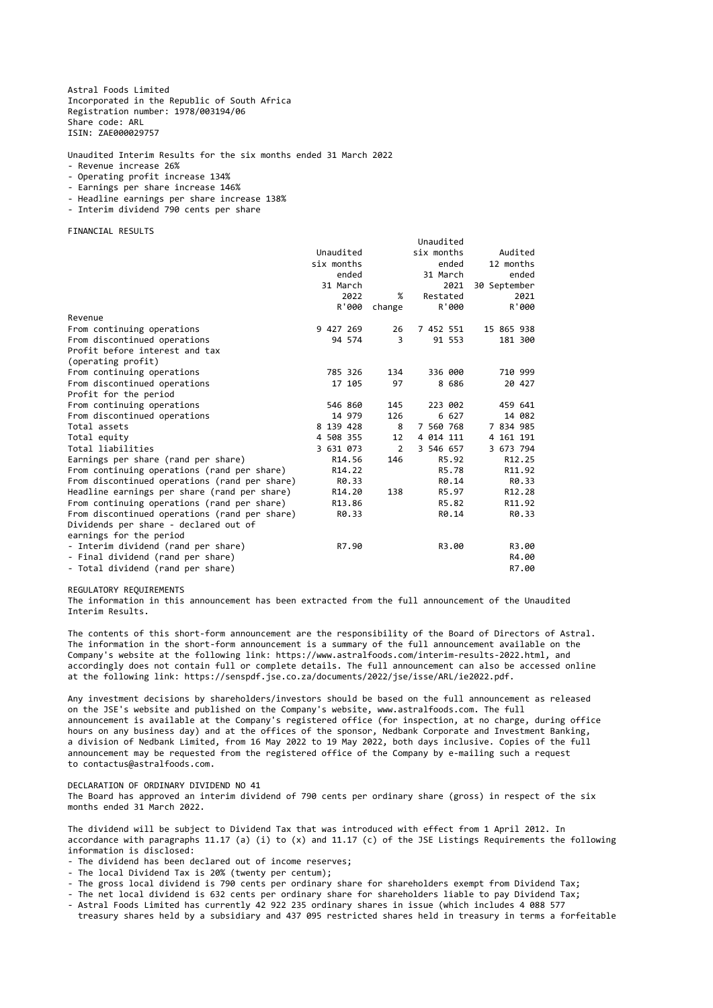Astral Foods Limited Incorporated in the Republic of South Africa Registration number: 1978/003194/06 Share code: ARL ISIN: ZAE000029757

Unaudited Interim Results for the six months ended 31 March 2022

- Revenue increase 26%
- Operating profit increase 134%
- Earnings per share increase 146%
- Headline earnings per share increase 138%
- Interim dividend 790 cents per share

FINANCIAL RESULTS

|                                               |            |                | Unaudited  |              |
|-----------------------------------------------|------------|----------------|------------|--------------|
|                                               | Unaudited  |                | six months | Audited      |
|                                               | six months |                | ended      | 12 months    |
|                                               | ended      |                | 31 March   | ended        |
|                                               | 31 March   |                | 2021       | 30 September |
|                                               | 2022       | $\%$           | Restated   | 2021         |
|                                               | R'000      | change         | R'000      | R'000        |
| Revenue                                       |            |                |            |              |
| From continuing operations                    | 9 427 269  | 26             | 7 452 551  | 15 865 938   |
| From discontinued operations                  | 94 574     | 3              | 91 553     | 181 300      |
| Profit before interest and tax                |            |                |            |              |
| (operating profit)                            |            |                |            |              |
| From continuing operations                    | 785 326    | 134            | 336 000    | 710 999      |
| From discontinued operations                  | 17 105     | 97             | 8 686      | 20 427       |
| Profit for the period                         |            |                |            |              |
| From continuing operations                    | 546 860    | 145            | 223 002    | 459 641      |
| From discontinued operations                  | 14 979     | 126            | 6 627      | 14 082       |
| Total assets                                  | 8 139 428  | 8              | 7 560 768  | 7 834 985    |
| Total equity                                  | 4 508 355  | 12             | 4 014 111  | 4 161 191    |
| Total liabilities                             | 3 631 073  | $\overline{2}$ | 3 546 657  | 3 673 794    |
| Earnings per share (rand per share)           | R14.56     | 146            | R5.92      | R12.25       |
| From continuing operations (rand per share)   | R14.22     |                | R5.78      | R11.92       |
| From discontinued operations (rand per share) | R0.33      |                | R0.14      | R0.33        |
| Headline earnings per share (rand per share)  | R14.20     | 138            | R5.97      | R12.28       |
| From continuing operations (rand per share)   | R13.86     |                | R5.82      | R11.92       |
| From discontinued operations (rand per share) | R0.33      |                | R0.14      | R0.33        |
| Dividends per share - declared out of         |            |                |            |              |
| earnings for the period                       |            |                |            |              |
| - Interim dividend (rand per share)           | R7.90      |                | R3.00      | R3.00        |
| - Final dividend (rand per share)             |            |                |            | R4.00        |
| - Total dividend (rand per share)             |            |                |            | R7.00        |

REGULATORY REQUIREMENTS

The information in this announcement has been extracted from the full announcement of the Unaudited Interim Results.

The contents of this short-form announcement are the responsibility of the Board of Directors of Astral. The information in the short-form announcement is a summary of the full announcement available on the Company's website at the following link: https://www.astralfoods.com/interim-results-2022.html, and accordingly does not contain full or complete details. The full announcement can also be accessed online at the following link: https://senspdf.jse.co.za/documents/2022/jse/isse/ARL/ie2022.pdf.

Any investment decisions by shareholders/investors should be based on the full announcement as released on the JSE's website and published on the Company's website, www.astralfoods.com. The full announcement is available at the Company's registered office (for inspection, at no charge, during office hours on any business day) and at the offices of the sponsor, Nedbank Corporate and Investment Banking, a division of Nedbank Limited, from 16 May 2022 to 19 May 2022, both days inclusive. Copies of the full announcement may be requested from the registered office of the Company by e-mailing such a request

to contactus@astralfoods.com.

## DECLARATION OF ORDINARY DIVIDEND NO 41

The Board has approved an interim dividend of 790 cents per ordinary share (gross) in respect of the six months ended 31 March 2022.

The dividend will be subject to Dividend Tax that was introduced with effect from 1 April 2012. In accordance with paragraphs 11.17 (a) (i) to (x) and 11.17 (c) of the JSE Listings Requirements the following information is disclosed:

- The dividend has been declared out of income reserves;
- The local Dividend Tax is 20% (twenty per centum);
- The gross local dividend is 790 cents per ordinary share for shareholders exempt from Dividend Tax;
- The net local dividend is 632 cents per ordinary share for shareholders liable to pay Dividend Tax;
- Astral Foods Limited has currently 42 922 235 ordinary shares in issue (which includes 4 088 577 treasury shares held by a subsidiary and 437 095 restricted shares held in treasury in terms a forfeitable